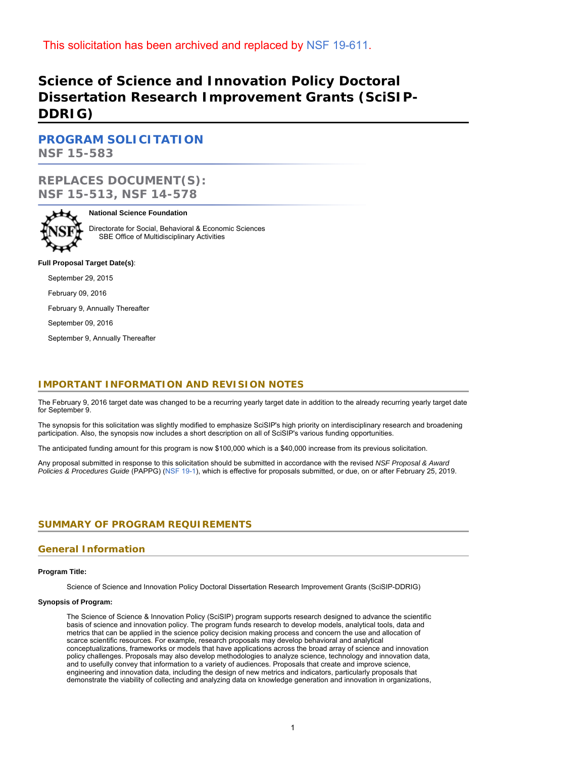# **Science of Science and Innovation Policy Doctoral Dissertation Research Improvement Grants (SciSIP-DDRIG)**

# **[PROGRAM SOLICITATION](#page-2-0)**

**NSF 15-583**

# **REPLACES DOCUMENT(S): NSF 15-513, NSF 14-578**



### **National Science Foundation**

Directorate for Social, Behavioral & Economic Sciences SBE Office of Multidisciplinary Activities

### **Full Proposal Target Date(s)**:

September 29, 2015

February 09, 2016

February 9, Annually Thereafter

September 09, 2016

September 9, Annually Thereafter

# **IMPORTANT INFORMATION AND REVISION NOTES**

The February 9, 2016 target date was changed to be a recurring yearly target date in addition to the already recurring yearly target date for September 9.

The synopsis for this solicitation was slightly modified to emphasize SciSIP's high priority on interdisciplinary research and broadening participation. Also, the synopsis now includes a short description on all of SciSIP's various funding opportunities.

The anticipated funding amount for this program is now \$100,000 which is a \$40,000 increase from its previous solicitation.

<span id="page-0-0"></span>Any proposal submitted in response to this solicitation should be submitted in accordance with the revised *NSF Proposal & Award Policies & Procedures Guide* (PAPPG) ([NSF 19-1\)](https://www.nsf.gov/publications/pub_summ.jsp?ods_key=nsf19001), which is effective for proposals submitted, or due, on or after February 25, 2019.

# **SUMMARY OF PROGRAM REQUIREMENTS**

# **General Information**

## **Program Title:**

Science of Science and Innovation Policy Doctoral Dissertation Research Improvement Grants (SciSIP-DDRIG)

## **Synopsis of Program:**

The Science of Science & Innovation Policy (SciSIP) program supports research designed to advance the scientific basis of science and innovation policy. The program funds research to develop models, analytical tools, data and metrics that can be applied in the science policy decision making process and concern the use and allocation of scarce scientific resources. For example, research proposals may develop behavioral and analytical conceptualizations, frameworks or models that have applications across the broad array of science and innovation policy challenges. Proposals may also develop methodologies to analyze science, technology and innovation data, and to usefully convey that information to a variety of audiences. Proposals that create and improve science, engineering and innovation data, including the design of new metrics and indicators, particularly proposals that demonstrate the viability of collecting and analyzing data on knowledge generation and innovation in organizations,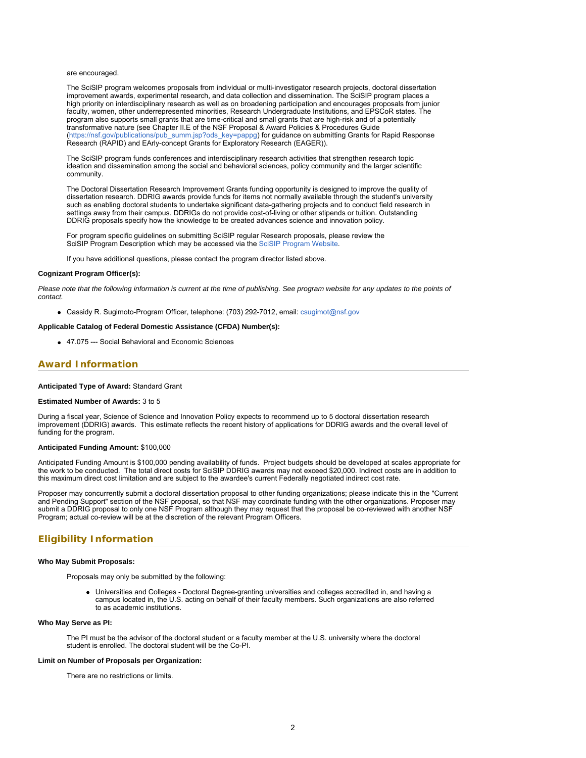are encouraged.

The SciSIP program welcomes proposals from individual or multi-investigator research projects, doctoral dissertation improvement awards, experimental research, and data collection and dissemination. The SciSIP program places a high priority on interdisciplinary research as well as on broadening participation and encourages proposals from junior faculty, women, other underrepresented minorities, Research Undergraduate Institutions, and EPSCoR states. The program also supports small grants that are time-critical and small grants that are high-risk and of a potentially transformative nature (see Chapter II.E of the NSF Proposal & Award Policies & Procedures Guide [\(https://nsf.gov/publications/pub\\_summ.jsp?ods\\_key=pappg\)](https://nsf.gov/publications/pub_summ.jsp?ods_key=pappg) for guidance on submitting Grants for Rapid Response Research (RAPID) and EArly-concept Grants for Exploratory Research (EAGER)).

The SciSIP program funds conferences and interdisciplinary research activities that strengthen research topic ideation and dissemination among the social and behavioral sciences, policy community and the larger scientific community.

The Doctoral Dissertation Research Improvement Grants funding opportunity is designed to improve the quality of dissertation research. DDRIG awards provide funds for items not normally available through the student's university such as enabling doctoral students to undertake significant data-gathering projects and to conduct field research in settings away from their campus. DDRIGs do not provide cost-of-living or other stipends or tuition. Outstanding DDRIG proposals specify how the knowledge to be created advances science and innovation policy.

For program specific guidelines on submitting SciSIP regular Research proposals, please review the SciSIP Program Description which may be accessed via the [SciSIP Program Website](https://www.nsf.gov/funding/pgm_summ.jsp?pims_id=501084&org=SBE).

If you have additional questions, please contact the program director listed above.

#### **Cognizant Program Officer(s):**

*Please note that the following information is current at the time of publishing. See program website for any updates to the points of contact.*

Cassidy R. Sugimoto-Program Officer, telephone: (703) 292-7012, email: [csugimot@nsf.gov](mailto:csugimot@nsf.gov)

#### **Applicable Catalog of Federal Domestic Assistance (CFDA) Number(s):**

47.075 --- Social Behavioral and Economic Sciences

### **Award Information**

**Anticipated Type of Award:** Standard Grant

#### **Estimated Number of Awards:** 3 to 5

During a fiscal year, Science of Science and Innovation Policy expects to recommend up to 5 doctoral dissertation research improvement (DDRIG) awards. This estimate reflects the recent history of applications for DDRIG awards and the overall level of funding for the program.

### **Anticipated Funding Amount:** \$100,000

Anticipated Funding Amount is \$100,000 pending availability of funds. Project budgets should be developed at scales appropriate for the work to be conducted. The total direct costs for SciSIP DDRIG awards may not exceed \$20,000. Indirect costs are in addition to this maximum direct cost limitation and are subject to the awardee's current Federally negotiated indirect cost rate.

Proposer may concurrently submit a doctoral dissertation proposal to other funding organizations; please indicate this in the "Current and Pending Support" section of the NSF proposal, so that NSF may coordinate funding with the other organizations. Proposer may submit a DDRIG proposal to only one NSF Program although they may request that the proposal be co-reviewed with another NSF Program; actual co-review will be at the discretion of the relevant Program Officers.

### **Eligibility Information**

### **Who May Submit Proposals:**

Proposals may only be submitted by the following:

Universities and Colleges - Doctoral Degree-granting universities and colleges accredited in, and having a campus located in, the U.S. acting on behalf of their faculty members. Such organizations are also referred to as academic institutions.

#### **Who May Serve as PI:**

The PI must be the advisor of the doctoral student or a faculty member at the U.S. university where the doctoral student is enrolled. The doctoral student will be the Co-PI.

#### **Limit on Number of Proposals per Organization:**

There are no restrictions or limits.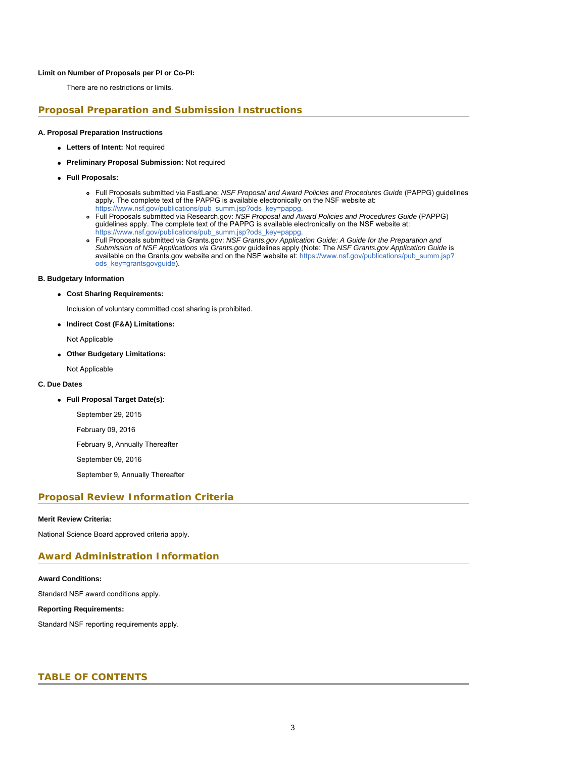### **Limit on Number of Proposals per PI or Co-PI:**

There are no restrictions or limits.

## **Proposal Preparation and Submission Instructions**

### **A. Proposal Preparation Instructions**

- **Letters of Intent:** Not required
- **Preliminary Proposal Submission:** Not required
- **Full Proposals:**
	- Full Proposals submitted via FastLane: *NSF Proposal and Award Policies and Procedures Guide* (PAPPG) guidelines apply. The complete text of the PAPPG is available electronically on the NSF website at: [https://www.nsf.gov/publications/pub\\_summ.jsp?ods\\_key=pappg.](https://www.nsf.gov/publications/pub_summ.jsp?ods_key=pappg)
	- Full Proposals submitted via Research.gov: *NSF Proposal and Award Policies and Procedures Guide* (PAPPG) guidelines apply. The complete text of the PAPPG is available electronically on the NSF website at: [https://www.nsf.gov/publications/pub\\_summ.jsp?ods\\_key=pappg.](https://www.nsf.gov/publications/pub_summ.jsp?ods_key=pappg)
	- Full Proposals submitted via Grants.gov: *NSF Grants.gov Application Guide: A Guide for the Preparation and Submission of NSF Applications via Grants.gov* guidelines apply (Note: The *NSF Grants.gov Application Guide* is available on the Grants.gov website and on the NSF website at: [https://www.nsf.gov/publications/pub\\_summ.jsp?](https://www.nsf.gov/publications/pub_summ.jsp?ods_key=grantsgovguide) [ods\\_key=grantsgovguide](https://www.nsf.gov/publications/pub_summ.jsp?ods_key=grantsgovguide)).

### **B. Budgetary Information**

**Cost Sharing Requirements:**

Inclusion of voluntary committed cost sharing is prohibited.

**Indirect Cost (F&A) Limitations:**

Not Applicable

**Other Budgetary Limitations:**

Not Applicable

### **C. Due Dates**

**Full Proposal Target Date(s)**:

September 29, 2015

February 09, 2016

February 9, Annually Thereafter

September 09, 2016

September 9, Annually Thereafter

### **Proposal Review Information Criteria**

### **Merit Review Criteria:**

National Science Board approved criteria apply.

### **Award Administration Information**

### **Award Conditions:**

Standard NSF award conditions apply.

### **Reporting Requirements:**

<span id="page-2-0"></span>Standard NSF reporting requirements apply.

# **TABLE OF CONTENTS**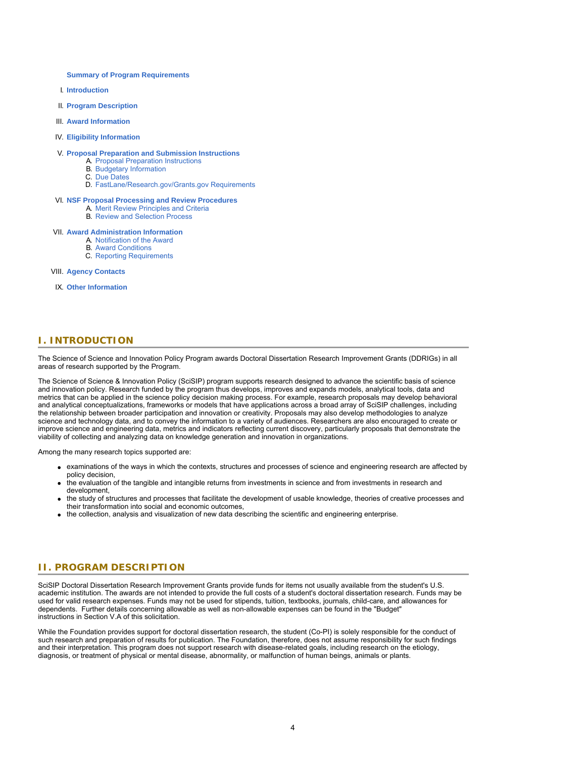#### **[Summary of Program Requirements](#page-0-0)**

- I. **[Introduction](#page-3-0)**
- II. **[Program Description](#page-3-1)**
- III. **[Award Information](#page-3-2)**

### IV. **[Eligibility Information](#page-4-0)**

#### V. **[Proposal Preparation and Submission Instructions](#page-4-1)**

- A. [Proposal Preparation Instructions](#page-4-1)
- B. [Budgetary Information](#page-5-0)
- C. [Due Dates](#page-5-1)
- D. [FastLane/Research.gov/Grants.gov Requirements](#page-6-0)

### VI. **[NSF Proposal Processing and Review Procedures](#page-6-1)**

- A. [Merit Review Principles and Criteria](#page-7-0)
- B. [Review and Selection Process](#page-8-0)

#### VII. **[Award Administration Information](#page-8-1)**

- A. [Notification of the Award](#page-8-2)
- B. [Award Conditions](#page-8-3)
- C. [Reporting Requirements](#page-8-4)

#### <span id="page-3-0"></span>VIII. **[Agency Contacts](#page-9-0)**

IX. **[Other Information](#page-9-1)**

# **I. INTRODUCTION**

The Science of Science and Innovation Policy Program awards Doctoral Dissertation Research Improvement Grants (DDRIGs) in all areas of research supported by the Program.

The Science of Science & Innovation Policy (SciSIP) program supports research designed to advance the scientific basis of science and innovation policy. Research funded by the program thus develops, improves and expands models, analytical tools, data and metrics that can be applied in the science policy decision making process. For example, research proposals may develop behavioral and analytical conceptualizations, frameworks or models that have applications across a broad array of SciSIP challenges, including the relationship between broader participation and innovation or creativity. Proposals may also develop methodologies to analyze science and technology data, and to convey the information to a variety of audiences. Researchers are also encouraged to create or improve science and engineering data, metrics and indicators reflecting current discovery, particularly proposals that demonstrate the viability of collecting and analyzing data on knowledge generation and innovation in organizations.

Among the many research topics supported are:

- examinations of the ways in which the contexts, structures and processes of science and engineering research are affected by policy decision,
- the evaluation of the tangible and intangible returns from investments in science and from investments in research and development,
- the study of structures and processes that facilitate the development of usable knowledge, theories of creative processes and their transformation into social and economic outcomes,
- <span id="page-3-1"></span>the collection, analysis and visualization of new data describing the scientific and engineering enterprise.

### **II. PROGRAM DESCRIPTION**

SciSIP Doctoral Dissertation Research Improvement Grants provide funds for items not usually available from the student's U.S. academic institution. The awards are not intended to provide the full costs of a student's doctoral dissertation research. Funds may be used for valid research expenses. Funds may not be used for stipends, tuition, textbooks, journals, child-care, and allowances for dependents. Further details concerning allowable as well as non-allowable expenses can be found in the "Budget" instructions in Section V.A of this solicitation.

<span id="page-3-2"></span>While the Foundation provides support for doctoral dissertation research, the student (Co-PI) is solely responsible for the conduct of such research and preparation of results for publication. The Foundation, therefore, does not assume responsibility for such findings and their interpretation. This program does not support research with disease-related goals, including research on the etiology, diagnosis, or treatment of physical or mental disease, abnormality, or malfunction of human beings, animals or plants.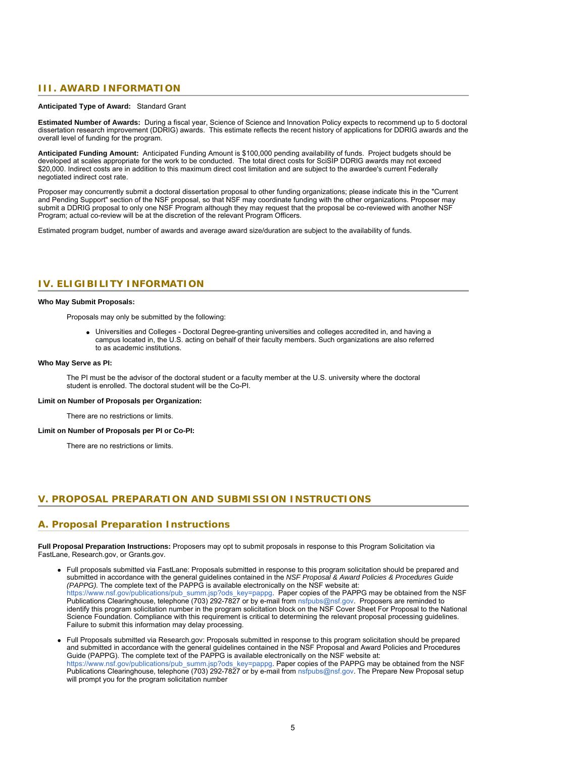# **III. AWARD INFORMATION**

### **Anticipated Type of Award:** Standard Grant

**Estimated Number of Awards:** During a fiscal year, Science of Science and Innovation Policy expects to recommend up to 5 doctoral dissertation research improvement (DDRIG) awards. This estimate reflects the recent history of applications for DDRIG awards and the overall level of funding for the program.

**Anticipated Funding Amount:** Anticipated Funding Amount is \$100,000 pending availability of funds. Project budgets should be developed at scales appropriate for the work to be conducted. The total direct costs for SciSIP DDRIG awards may not exceed \$20,000. Indirect costs are in addition to this maximum direct cost limitation and are subject to the awardee's current Federally negotiated indirect cost rate.

Proposer may concurrently submit a doctoral dissertation proposal to other funding organizations; please indicate this in the "Current and Pending Support" section of the NSF proposal, so that NSF may coordinate funding with the other organizations. Proposer may submit a DDRIG proposal to only one NSF Program although they may request that the proposal be co-reviewed with another NSF Program; actual co-review will be at the discretion of the relevant Program Officers.

<span id="page-4-0"></span>Estimated program budget, number of awards and average award size/duration are subject to the availability of funds.

# **IV. ELIGIBILITY INFORMATION**

#### **Who May Submit Proposals:**

Proposals may only be submitted by the following:

Universities and Colleges - Doctoral Degree-granting universities and colleges accredited in, and having a campus located in, the U.S. acting on behalf of their faculty members. Such organizations are also referred to as academic institutions.

#### **Who May Serve as PI:**

The PI must be the advisor of the doctoral student or a faculty member at the U.S. university where the doctoral student is enrolled. The doctoral student will be the Co-PI.

#### **Limit on Number of Proposals per Organization:**

There are no restrictions or limits.

<span id="page-4-1"></span>**Limit on Number of Proposals per PI or Co-PI:**

There are no restrictions or limits.

### **V. PROPOSAL PREPARATION AND SUBMISSION INSTRUCTIONS**

# **A. Proposal Preparation Instructions**

**Full Proposal Preparation Instructions:** Proposers may opt to submit proposals in response to this Program Solicitation via FastLane, Research.gov, or Grants.gov.

- Full proposals submitted via FastLane: Proposals submitted in response to this program solicitation should be prepared and submitted in accordance with the general guidelines contained in the *NSF Proposal & Award Policies & Procedures Guide (PAPPG).* The complete text of the PAPPG is available electronically on the NSF website at: [https://www.nsf.gov/publications/pub\\_summ.jsp?ods\\_key=pappg.](https://www.nsf.gov/publications/pub_summ.jsp?ods_key=pappg) Paper copies of the PAPPG may be obtained from the NSF Publications Clearinghouse, telephone (703) 292-7827 or by e-mail from [nsfpubs@nsf.gov](mailto:nsfpubs@nsf.gov). Proposers are reminded to identify this program solicitation number in the program solicitation block on the NSF Cover Sheet For Proposal to the National Science Foundation. Compliance with this requirement is critical to determining the relevant proposal processing guidelines. Failure to submit this information may delay processing.
- Full Proposals submitted via Research.gov: Proposals submitted in response to this program solicitation should be prepared and submitted in accordance with the general guidelines contained in the NSF Proposal and Award Policies and Procedures Guide (PAPPG). The complete text of the PAPPG is available electronically on the NSF website at: [https://www.nsf.gov/publications/pub\\_summ.jsp?ods\\_key=pappg.](https://www.nsf.gov/publications/pub_summ.jsp?ods_key=pappg) Paper copies of the PAPPG may be obtained from the NSF Publications Clearinghouse, telephone (703) 292-7827 or by e-mail from [nsfpubs@nsf.gov](mailto:nsfpubs@nsf.gov). The Prepare New Proposal setup will prompt you for the program solicitation number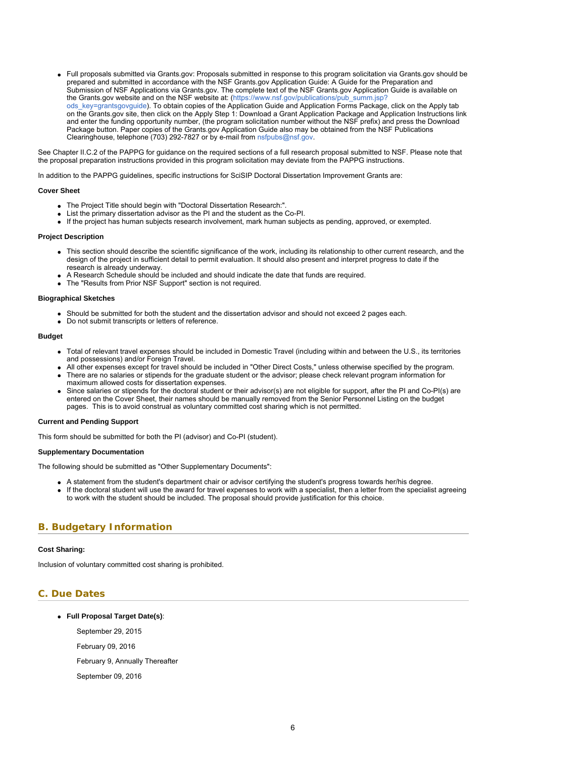<span id="page-5-1"></span>Full proposals submitted via Grants.gov: Proposals submitted in response to this program solicitation via Grants.gov should be prepared and submitted in accordance with the NSF Grants.gov Application Guide: A Guide for the Preparation and Submission of NSF Applications via Grants.gov. The complete text of the NSF Grants.gov Application Guide is available on the Grants.gov website and on the NSF website at: [\(https://www.nsf.gov/publications/pub\\_summ.jsp?](https://www.nsf.gov/publications/pub_summ.jsp?ods_key=grantsgovguide) [ods\\_key=grantsgovguide](https://www.nsf.gov/publications/pub_summ.jsp?ods_key=grantsgovguide)). To obtain copies of the Application Guide and Application Forms Package, click on the Apply tab on the Grants.gov site, then click on the Apply Step 1: Download a Grant Application Package and Application Instructions link and enter the funding opportunity number, (the program solicitation number without the NSF prefix) and press the Download Package button. Paper copies of the Grants.gov Application Guide also may be obtained from the NSF Publications Clearinghouse, telephone (703) 292-7827 or by e-mail from [nsfpubs@nsf.gov](mailto:nsfpubs@nsf.gov).

See Chapter II.C.2 of the PAPPG for guidance on the required sections of a full research proposal submitted to NSF. Please note that the proposal preparation instructions provided in this program solicitation may deviate from the PAPPG instructions.

In addition to the PAPPG guidelines, specific instructions for SciSIP Doctoral Dissertation Improvement Grants are:

### **Cover Sheet**

- The Project Title should begin with "Doctoral Dissertation Research:".
- List the primary dissertation advisor as the PI and the student as the Co-PI.
- If the project has human subjects research involvement, mark human subjects as pending, approved, or exempted.

#### **Project Description**

- This section should describe the scientific significance of the work, including its relationship to other current research, and the design of the project in sufficient detail to permit evaluation. It should also present and interpret progress to date if the research is already underway.
- A Research Schedule should be included and should indicate the date that funds are required.
- The "Results from Prior NSF Support" section is not required.

#### **Biographical Sketches**

- Should be submitted for both the student and the dissertation advisor and should not exceed 2 pages each.
- Do not submit transcripts or letters of reference.

#### **Budget**

- Total of relevant travel expenses should be included in Domestic Travel (including within and between the U.S., its territories and possessions) and/or Foreign Travel.
- All other expenses except for travel should be included in "Other Direct Costs," unless otherwise specified by the program.
- There are no salaries or stipends for the graduate student or the advisor; please check relevant program information for maximum allowed costs for dissertation expenses.
- Since salaries or stipends for the doctoral student or their advisor(s) are not eligible for support, after the PI and Co-PI(s) are entered on the Cover Sheet, their names should be manually removed from the Senior Personnel Listing on the budget pages. This is to avoid construal as voluntary committed cost sharing which is not permitted.

#### **Current and Pending Support**

This form should be submitted for both the PI (advisor) and Co-PI (student).

### **Supplementary Documentation**

The following should be submitted as "Other Supplementary Documents":

- A statement from the student's department chair or advisor certifying the student's progress towards her/his degree.
- If the doctoral student will use the award for travel expenses to work with a specialist, then a letter from the specialist agreeing to work with the student should be included. The proposal should provide justification for this choice.

### <span id="page-5-0"></span>**B. Budgetary Information**

#### **Cost Sharing:**

Inclusion of voluntary committed cost sharing is prohibited.

# **C. Due Dates**

**Full Proposal Target Date(s)**:

September 29, 2015

February 09, 2016

February 9, Annually Thereafter

September 09, 2016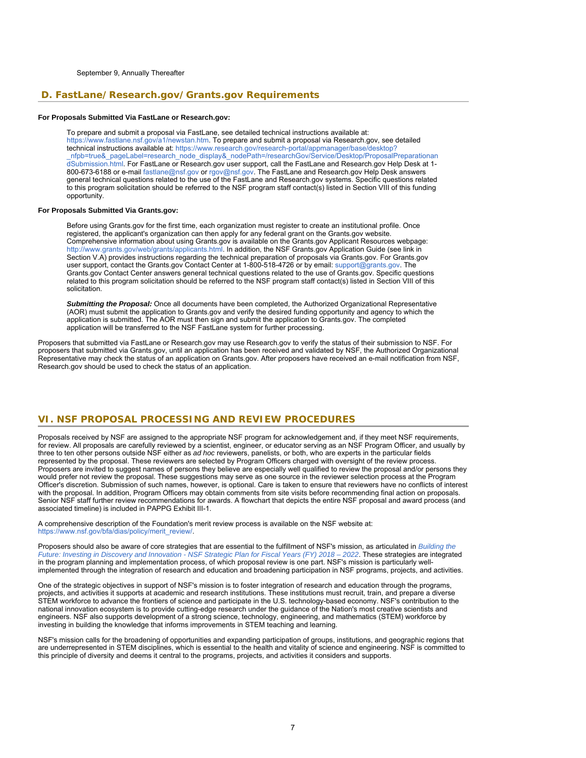### <span id="page-6-0"></span>**D. FastLane/Research.gov/Grants.gov Requirements**

#### **For Proposals Submitted Via FastLane or Research.gov:**

To prepare and submit a proposal via FastLane, see detailed technical instructions available at: <https://www.fastlane.nsf.gov/a1/newstan.htm>. To prepare and submit a proposal via Research.gov, see detailed technical instructions available at: [https://www.research.gov/research-portal/appmanager/base/desktop?](https://www.research.gov/research-portal/appmanager/base/desktop?_nfpb=true&_pageLabel=research_node_display&_nodePath=/researchGov/Service/Desktop/ProposalPreparationandSubmission.html) nfpb=true&\_pageLabel=research\_node\_display&\_nodePath=/researchGov/Service/Desktop/ProposalPreparationan [dSubmission.html.](https://www.research.gov/research-portal/appmanager/base/desktop?_nfpb=true&_pageLabel=research_node_display&_nodePath=/researchGov/Service/Desktop/ProposalPreparationandSubmission.html) For FastLane or Research.gov user support, call the FastLane and Research.gov Help Desk at 1- 800-673-6188 or e-mail [fastlane@nsf.gov](mailto:fastlane@nsf.gov) or [rgov@nsf.gov](mailto:rgov@nsf.gov). The FastLane and Research.gov Help Desk answers general technical questions related to the use of the FastLane and Research.gov systems. Specific questions related to this program solicitation should be referred to the NSF program staff contact(s) listed in Section VIII of this funding opportunity.

### **For Proposals Submitted Via Grants.gov:**

Before using Grants.gov for the first time, each organization must register to create an institutional profile. Once registered, the applicant's organization can then apply for any federal grant on the Grants.gov website. Comprehensive information about using Grants.gov is available on the Grants.gov Applicant Resources webpage: [http://www.grants.gov/web/grants/applicants.html.](http://www.grants.gov/web/grants/applicants.html) In addition, the NSF Grants.gov Application Guide (see link in Section V.A) provides instructions regarding the technical preparation of proposals via Grants.gov. For Grants.gov user support, contact the Grants.gov Contact Center at 1-800-518-4726 or by email: [support@grants.gov.](mailto:support@grants.gov) The Grants.gov Contact Center answers general technical questions related to the use of Grants.gov. Specific questions related to this program solicitation should be referred to the NSF program staff contact(s) listed in Section VIII of this solicitation.

*Submitting the Proposal:* Once all documents have been completed, the Authorized Organizational Representative (AOR) must submit the application to Grants.gov and verify the desired funding opportunity and agency to which the application is submitted. The AOR must then sign and submit the application to Grants.gov. The completed application will be transferred to the NSF FastLane system for further processing.

<span id="page-6-1"></span>Proposers that submitted via FastLane or Research.gov may use Research.gov to verify the status of their submission to NSF. For proposers that submitted via Grants.gov, until an application has been received and validated by NSF, the Authorized Organizational Representative may check the status of an application on Grants.gov. After proposers have received an e-mail notification from NSF, Research.gov should be used to check the status of an application.

### **VI. NSF PROPOSAL PROCESSING AND REVIEW PROCEDURES**

Proposals received by NSF are assigned to the appropriate NSF program for acknowledgement and, if they meet NSF requirements, for review. All proposals are carefully reviewed by a scientist, engineer, or educator serving as an NSF Program Officer, and usually by three to ten other persons outside NSF either as *ad hoc* reviewers, panelists, or both, who are experts in the particular fields represented by the proposal. These reviewers are selected by Program Officers charged with oversight of the review process. Proposers are invited to suggest names of persons they believe are especially well qualified to review the proposal and/or persons they would prefer not review the proposal. These suggestions may serve as one source in the reviewer selection process at the Program Officer's discretion. Submission of such names, however, is optional. Care is taken to ensure that reviewers have no conflicts of interest with the proposal. In addition, Program Officers may obtain comments from site visits before recommending final action on proposals. Senior NSF staff further review recommendations for awards. A flowchart that depicts the entire NSF proposal and award process (and associated timeline) is included in PAPPG Exhibit III-1.

A comprehensive description of the Foundation's merit review process is available on the NSF website at: [https://www.nsf.gov/bfa/dias/policy/merit\\_review/](https://www.nsf.gov/bfa/dias/policy/merit_review/).

Proposers should also be aware of core strategies that are essential to the fulfillment of NSF's mission, as articulated in *[Building the](https://www.nsf.gov/publications/pub_summ.jsp?ods_key=nsf18045&org=NSF) [Future: Investing in Discovery and Innovation - NSF Strategic Plan for Fiscal Years \(FY\) 2018 – 2022](https://www.nsf.gov/publications/pub_summ.jsp?ods_key=nsf18045&org=NSF)*. These strategies are integrated in the program planning and implementation process, of which proposal review is one part. NSF's mission is particularly wellimplemented through the integration of research and education and broadening participation in NSF programs, projects, and activities.

One of the strategic objectives in support of NSF's mission is to foster integration of research and education through the programs, projects, and activities it supports at academic and research institutions. These institutions must recruit, train, and prepare a diverse STEM workforce to advance the frontiers of science and participate in the U.S. technology-based economy. NSF's contribution to the national innovation ecosystem is to provide cutting-edge research under the guidance of the Nation's most creative scientists and engineers. NSF also supports development of a strong science, technology, engineering, and mathematics (STEM) workforce by investing in building the knowledge that informs improvements in STEM teaching and learning.

NSF's mission calls for the broadening of opportunities and expanding participation of groups, institutions, and geographic regions that are underrepresented in STEM disciplines, which is essential to the health and vitality of science and engineering. NSF is committed to this principle of diversity and deems it central to the programs, projects, and activities it considers and supports.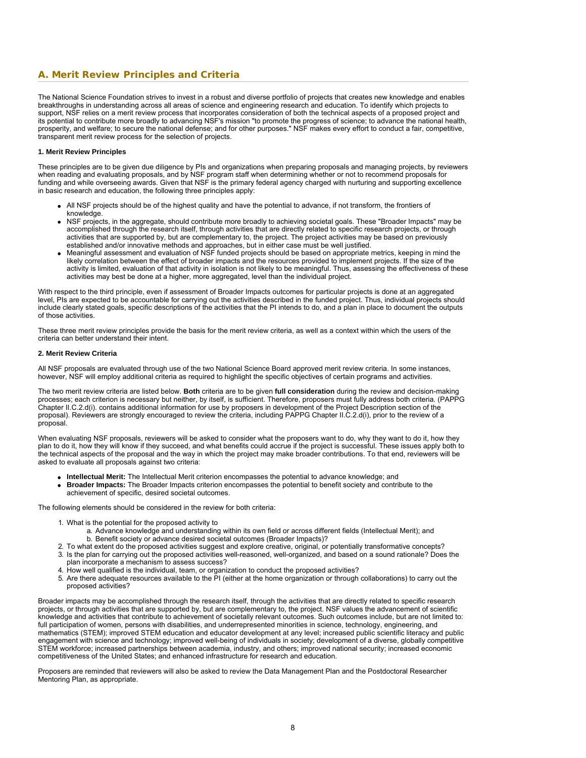# <span id="page-7-0"></span>**A. Merit Review Principles and Criteria**

The National Science Foundation strives to invest in a robust and diverse portfolio of projects that creates new knowledge and enables breakthroughs in understanding across all areas of science and engineering research and education. To identify which projects to support, NSF relies on a merit review process that incorporates consideration of both the technical aspects of a proposed project and its potential to contribute more broadly to advancing NSF's mission "to promote the progress of science; to advance the national health, prosperity, and welfare; to secure the national defense; and for other purposes." NSF makes every effort to conduct a fair, competitive, transparent merit review process for the selection of projects.

### **1. Merit Review Principles**

These principles are to be given due diligence by PIs and organizations when preparing proposals and managing projects, by reviewers when reading and evaluating proposals, and by NSF program staff when determining whether or not to recommend proposals for funding and while overseeing awards. Given that NSF is the primary federal agency charged with nurturing and supporting excellence in basic research and education, the following three principles apply:

- All NSF projects should be of the highest quality and have the potential to advance, if not transform, the frontiers of knowledge.
- NSF projects, in the aggregate, should contribute more broadly to achieving societal goals. These "Broader Impacts" may be accomplished through the research itself, through activities that are directly related to specific research projects, or through activities that are supported by, but are complementary to, the project. The project activities may be based on previously established and/or innovative methods and approaches, but in either case must be well justified.
- Meaningful assessment and evaluation of NSF funded projects should be based on appropriate metrics, keeping in mind the likely correlation between the effect of broader impacts and the resources provided to implement projects. If the size of the activity is limited, evaluation of that activity in isolation is not likely to be meaningful. Thus, assessing the effectiveness of these activities may best be done at a higher, more aggregated, level than the individual project.

With respect to the third principle, even if assessment of Broader Impacts outcomes for particular projects is done at an aggregated level, PIs are expected to be accountable for carrying out the activities described in the funded project. Thus, individual projects should include clearly stated goals, specific descriptions of the activities that the PI intends to do, and a plan in place to document the outputs of those activities.

These three merit review principles provide the basis for the merit review criteria, as well as a context within which the users of the criteria can better understand their intent.

### **2. Merit Review Criteria**

All NSF proposals are evaluated through use of the two National Science Board approved merit review criteria. In some instances, however, NSF will employ additional criteria as required to highlight the specific objectives of certain programs and activities.

The two merit review criteria are listed below. **Both** criteria are to be given **full consideration** during the review and decision-making processes; each criterion is necessary but neither, by itself, is sufficient. Therefore, proposers must fully address both criteria. (PAPPG Chapter II.C.2.d(i). contains additional information for use by proposers in development of the Project Description section of the proposal). Reviewers are strongly encouraged to review the criteria, including PAPPG Chapter II.C.2.d(i), prior to the review of a proposal.

When evaluating NSF proposals, reviewers will be asked to consider what the proposers want to do, why they want to do it, how they plan to do it, how they will know if they succeed, and what benefits could accrue if the project is successful. These issues apply both to the technical aspects of the proposal and the way in which the project may make broader contributions. To that end, reviewers will be asked to evaluate all proposals against two criteria:

- **Intellectual Merit:** The Intellectual Merit criterion encompasses the potential to advance knowledge; and
- **Broader Impacts:** The Broader Impacts criterion encompasses the potential to benefit society and contribute to the achievement of specific, desired societal outcomes.

The following elements should be considered in the review for both criteria:

- 1. What is the potential for the proposed activity to
	- a. Advance knowledge and understanding within its own field or across different fields (Intellectual Merit); and b. Benefit society or advance desired societal outcomes (Broader Impacts)?
- 2. To what extent do the proposed activities suggest and explore creative, original, or potentially transformative concepts?
- 3. Is the plan for carrying out the proposed activities well-reasoned, well-organized, and based on a sound rationale? Does the plan incorporate a mechanism to assess success?
- 4. How well qualified is the individual, team, or organization to conduct the proposed activities?
- 5. Are there adequate resources available to the PI (either at the home organization or through collaborations) to carry out the proposed activities?

Broader impacts may be accomplished through the research itself, through the activities that are directly related to specific research projects, or through activities that are supported by, but are complementary to, the project. NSF values the advancement of scientific knowledge and activities that contribute to achievement of societally relevant outcomes. Such outcomes include, but are not limited to: full participation of women, persons with disabilities, and underrepresented minorities in science, technology, engineering, and mathematics (STEM); improved STEM education and educator development at any level; increased public scientific literacy and public engagement with science and technology; improved well-being of individuals in society; development of a diverse, globally competitive STEM workforce; increased partnerships between academia, industry, and others; improved national security; increased economic competitiveness of the United States; and enhanced infrastructure for research and education.

Proposers are reminded that reviewers will also be asked to review the Data Management Plan and the Postdoctoral Researcher Mentoring Plan, as appropriate.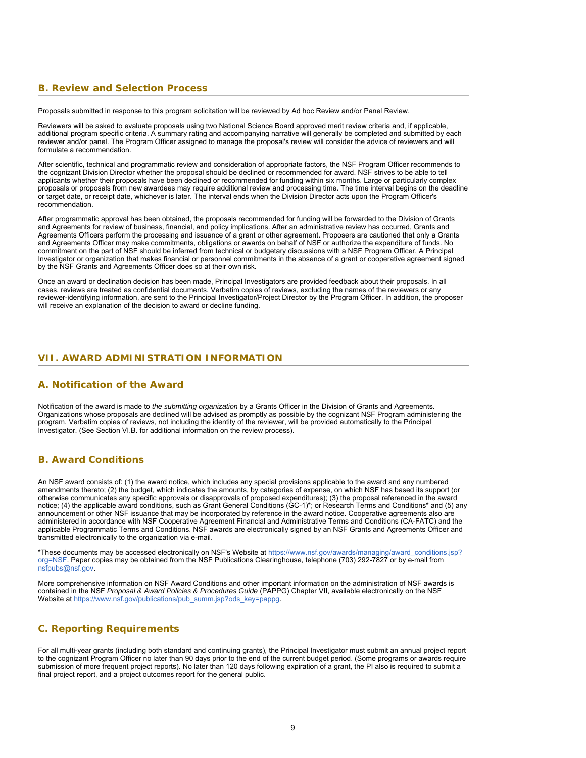# <span id="page-8-0"></span>**B. Review and Selection Process**

Proposals submitted in response to this program solicitation will be reviewed by Ad hoc Review and/or Panel Review.

Reviewers will be asked to evaluate proposals using two National Science Board approved merit review criteria and, if applicable, additional program specific criteria. A summary rating and accompanying narrative will generally be completed and submitted by each reviewer and/or panel. The Program Officer assigned to manage the proposal's review will consider the advice of reviewers and will formulate a recommendation.

After scientific, technical and programmatic review and consideration of appropriate factors, the NSF Program Officer recommends to the cognizant Division Director whether the proposal should be declined or recommended for award. NSF strives to be able to tell applicants whether their proposals have been declined or recommended for funding within six months. Large or particularly complex proposals or proposals from new awardees may require additional review and processing time. The time interval begins on the deadline or target date, or receipt date, whichever is later. The interval ends when the Division Director acts upon the Program Officer's recommendation.

After programmatic approval has been obtained, the proposals recommended for funding will be forwarded to the Division of Grants and Agreements for review of business, financial, and policy implications. After an administrative review has occurred, Grants and Agreements Officers perform the processing and issuance of a grant or other agreement. Proposers are cautioned that only a Grants and Agreements Officer may make commitments, obligations or awards on behalf of NSF or authorize the expenditure of funds. No commitment on the part of NSF should be inferred from technical or budgetary discussions with a NSF Program Officer. A Principal Investigator or organization that makes financial or personnel commitments in the absence of a grant or cooperative agreement signed by the NSF Grants and Agreements Officer does so at their own risk.

<span id="page-8-1"></span>Once an award or declination decision has been made, Principal Investigators are provided feedback about their proposals. In all cases, reviews are treated as confidential documents. Verbatim copies of reviews, excluding the names of the reviewers or any reviewer-identifying information, are sent to the Principal Investigator/Project Director by the Program Officer. In addition, the proposer will receive an explanation of the decision to award or decline funding.

# <span id="page-8-2"></span>**VII. AWARD ADMINISTRATION INFORMATION**

### **A. Notification of the Award**

Notification of the award is made to *the submitting organization* by a Grants Officer in the Division of Grants and Agreements. Organizations whose proposals are declined will be advised as promptly as possible by the cognizant NSF Program administering the program. Verbatim copies of reviews, not including the identity of the reviewer, will be provided automatically to the Principal Investigator. (See Section VI.B. for additional information on the review process).

# <span id="page-8-3"></span>**B. Award Conditions**

An NSF award consists of: (1) the award notice, which includes any special provisions applicable to the award and any numbered amendments thereto; (2) the budget, which indicates the amounts, by categories of expense, on which NSF has based its support (or otherwise communicates any specific approvals or disapprovals of proposed expenditures); (3) the proposal referenced in the award notice; (4) the applicable award conditions, such as Grant General Conditions (GC-1)\*; or Research Terms and Conditions\* and (5) any announcement or other NSF issuance that may be incorporated by reference in the award notice. Cooperative agreements also are administered in accordance with NSF Cooperative Agreement Financial and Administrative Terms and Conditions (CA-FATC) and the applicable Programmatic Terms and Conditions. NSF awards are electronically signed by an NSF Grants and Agreements Officer and transmitted electronically to the organization via e-mail.

\*These documents may be accessed electronically on NSF's Website at [https://www.nsf.gov/awards/managing/award\\_conditions.jsp?](https://www.nsf.gov/awards/managing/award_conditions.jsp?org=NSF) [org=NSF.](https://www.nsf.gov/awards/managing/award_conditions.jsp?org=NSF) Paper copies may be obtained from the NSF Publications Clearinghouse, telephone (703) 292-7827 or by e-mail from [nsfpubs@nsf.gov.](mailto:nsfpubs@nsf.gov)

<span id="page-8-4"></span>More comprehensive information on NSF Award Conditions and other important information on the administration of NSF awards is contained in the NSF *Proposal & Award Policies & Procedures Guide* (PAPPG) Chapter VII, available electronically on the NSF Website at [https://www.nsf.gov/publications/pub\\_summ.jsp?ods\\_key=pappg](https://www.nsf.gov/publications/pub_summ.jsp?ods_key=pappg).

# **C. Reporting Requirements**

For all multi-year grants (including both standard and continuing grants), the Principal Investigator must submit an annual project report to the cognizant Program Officer no later than 90 days prior to the end of the current budget period. (Some programs or awards require submission of more frequent project reports). No later than 120 days following expiration of a grant, the PI also is required to submit a final project report, and a project outcomes report for the general public.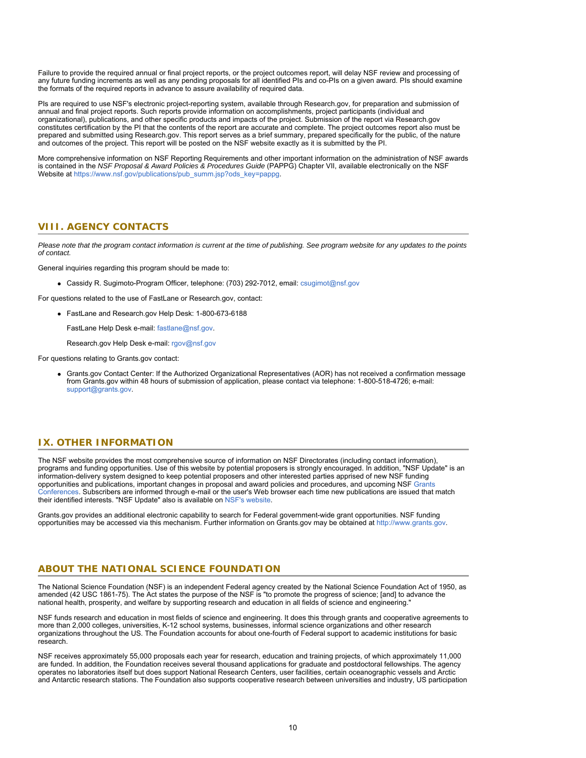Failure to provide the required annual or final project reports, or the project outcomes report, will delay NSF review and processing of any future funding increments as well as any pending proposals for all identified PIs and co-PIs on a given award. PIs should examine the formats of the required reports in advance to assure availability of required data.

PIs are required to use NSF's electronic project-reporting system, available through Research.gov, for preparation and submission of annual and final project reports. Such reports provide information on accomplishments, project participants (individual and organizational), publications, and other specific products and impacts of the project. Submission of the report via Research.gov constitutes certification by the PI that the contents of the report are accurate and complete. The project outcomes report also must be prepared and submitted using Research.gov. This report serves as a brief summary, prepared specifically for the public, of the nature and outcomes of the project. This report will be posted on the NSF website exactly as it is submitted by the PI.

<span id="page-9-0"></span>More comprehensive information on NSF Reporting Requirements and other important information on the administration of NSF awards is contained in the *NSF Proposal & Award Policies & Procedures Guide* (PAPPG) Chapter VII, available electronically on the NSF Website at [https://www.nsf.gov/publications/pub\\_summ.jsp?ods\\_key=pappg](https://www.nsf.gov/publications/pub_summ.jsp?ods_key=pappg).

## **VIII. AGENCY CONTACTS**

*Please note that the program contact information is current at the time of publishing. See program website for any updates to the points of contact.*

General inquiries regarding this program should be made to:

Cassidy R. Sugimoto-Program Officer, telephone: (703) 292-7012, email: [csugimot@nsf.gov](mailto:csugimot@nsf.gov)

For questions related to the use of FastLane or Research.gov, contact:

- FastLane and Research.gov Help Desk: 1-800-673-6188
	- FastLane Help Desk e-mail: [fastlane@nsf.gov](mailto:fastlane@nsf.gov).

Research.gov Help Desk e-mail: [rgov@nsf.gov](mailto:rgov@nsf.gov)

<span id="page-9-1"></span>For questions relating to Grants.gov contact:

Grants.gov Contact Center: If the Authorized Organizational Representatives (AOR) has not received a confirmation message from Grants.gov within 48 hours of submission of application, please contact via telephone: 1-800-518-4726; e-mail: [support@grants.gov.](mailto:support@grants.gov)

# **IX. OTHER INFORMATION**

The NSF website provides the most comprehensive source of information on NSF Directorates (including contact information), programs and funding opportunities. Use of this website by potential proposers is strongly encouraged. In addition, "NSF Update" is an information-delivery system designed to keep potential proposers and other interested parties apprised of new NSF funding opportunities and publications, important changes in proposal and award policies and procedures, and upcoming NSF [Grants](https://www.nsf.gov/bfa/dias/policy/outreach.jsp) [Conferences](https://www.nsf.gov/bfa/dias/policy/outreach.jsp). Subscribers are informed through e-mail or the user's Web browser each time new publications are issued that match their identified interests. "NSF Update" also is available on [NSF's website](https://www.nsf.gov/cgi-bin/goodbye?https://public.govdelivery.com/accounts/USNSF/subscriber/new?topic_id=USNSF_179).

Grants.gov provides an additional electronic capability to search for Federal government-wide grant opportunities. NSF funding opportunities may be accessed via this mechanism. Further information on Grants.gov may be obtained at [http://www.grants.gov](http://www.grants.gov/).

# **ABOUT THE NATIONAL SCIENCE FOUNDATION**

The National Science Foundation (NSF) is an independent Federal agency created by the National Science Foundation Act of 1950, as amended (42 USC 1861-75). The Act states the purpose of the NSF is "to promote the progress of science; [and] to advance the national health, prosperity, and welfare by supporting research and education in all fields of science and engineering."

NSF funds research and education in most fields of science and engineering. It does this through grants and cooperative agreements to more than 2,000 colleges, universities, K-12 school systems, businesses, informal science organizations and other research organizations throughout the US. The Foundation accounts for about one-fourth of Federal support to academic institutions for basic research.

NSF receives approximately 55,000 proposals each year for research, education and training projects, of which approximately 11,000 are funded. In addition, the Foundation receives several thousand applications for graduate and postdoctoral fellowships. The agency operates no laboratories itself but does support National Research Centers, user facilities, certain oceanographic vessels and Arctic and Antarctic research stations. The Foundation also supports cooperative research between universities and industry, US participation